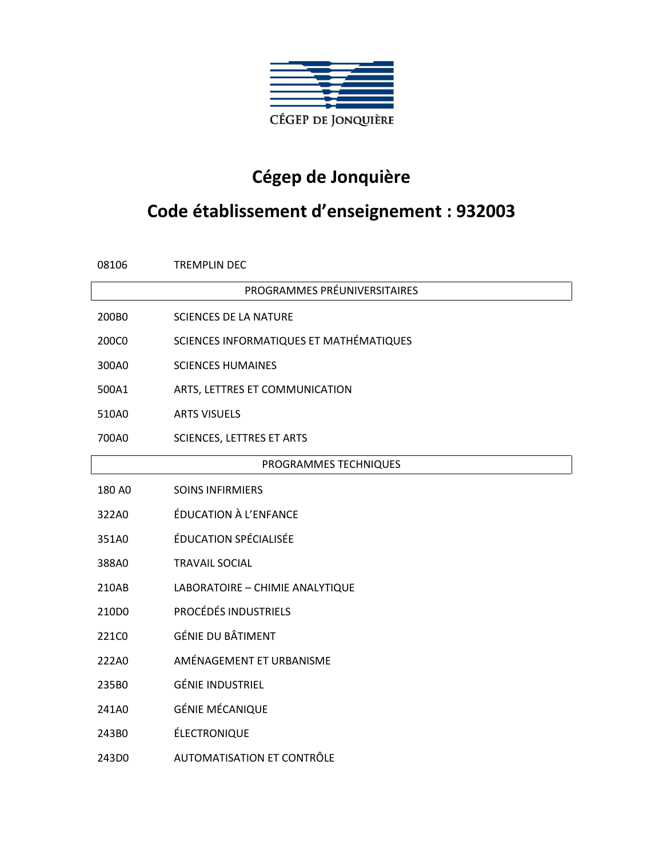

## **Cégep de Jonquière**

## **Code établissement d'enseignement : 932003**

| 08106                        | <b>TREMPLIN DEC</b>                     |  |
|------------------------------|-----------------------------------------|--|
| PROGRAMMES PRÉUNIVERSITAIRES |                                         |  |
| 200B0                        | <b>SCIENCES DE LA NATURE</b>            |  |
| 200C0                        | SCIENCES INFORMATIQUES ET MATHÉMATIQUES |  |
| 300A0                        | <b>SCIENCES HUMAINES</b>                |  |
| 500A1                        | ARTS, LETTRES ET COMMUNICATION          |  |
| 510A0                        | <b>ARTS VISUELS</b>                     |  |
| 700A0                        | <b>SCIENCES, LETTRES ET ARTS</b>        |  |
| PROGRAMMES TECHNIQUES        |                                         |  |
| 180 AO                       | <b>SOINS INFIRMIERS</b>                 |  |
| 322A0                        | <b>ÉDUCATION À L'ENFANCE</b>            |  |
| 351A0                        | ÉDUCATION SPÉCIALISÉE                   |  |
| 388A0                        | <b>TRAVAIL SOCIAL</b>                   |  |
| 210AB                        | LABORATOIRE - CHIMIE ANALYTIQUE         |  |
| 210D0                        | <b>PROCÉDÉS INDUSTRIELS</b>             |  |
| 221C0                        | <b>GÉNIE DU BÂTIMENT</b>                |  |
| 222A0                        | AMÉNAGEMENT ET URBANISME                |  |
| 235B0                        | <b>GÉNIE INDUSTRIEL</b>                 |  |
| 241A0                        | <b>GÉNIE MÉCANIQUE</b>                  |  |
| 243B0                        | ÉLECTRONIQUE                            |  |
| 243D0                        | AUTOMATISATION ET CONTRÔLE              |  |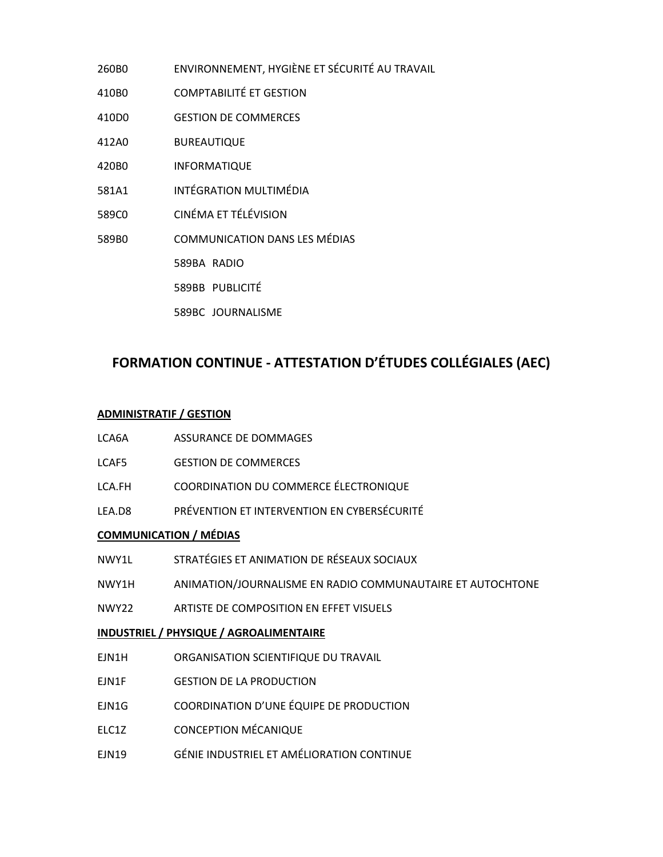- 260B0 ENVIRONNEMENT, HYGIÈNE ET SÉCURITÉ AU TRAVAIL
- 410B0 COMPTABILITÉ ET GESTION
- 410D0 GESTION DE COMMERCES
- 412A0 BUREAUTIQUE
- 420B0 INFORMATIQUE
- 581A1 INTÉGRATION MULTIMÉDIA
- 589C0 CINÉMA ET TÉLÉVISION
- 589B0 COMMUNICATION DANS LES MÉDIAS
	- 589BA RADIO
	- 589BB PUBLICITÉ
	- 589BC JOURNALISME

## **FORMATION CONTINUE - ATTESTATION D'ÉTUDES COLLÉGIALES (AEC)**

## **ADMINISTRATIF / GESTION**

| LCA6A                                   | ASSURANCE DE DOMMAGES                                            |  |
|-----------------------------------------|------------------------------------------------------------------|--|
| LCAF5                                   | <b>GESTION DE COMMERCES</b>                                      |  |
| LCA.FH                                  | COORDINATION DU COMMERCE ÉLECTRONIQUE                            |  |
|                                         | LEA.D8 PRÉVENTION ET INTERVENTION EN CYBERSÉCURITÉ               |  |
| <b>COMMUNICATION / MÉDIAS</b>           |                                                                  |  |
|                                         | NWY1L                 STRATÉGIES ET ANIMATION DE RÉSEAUX SOCIAUX |  |
| NWY1H                                   | ANIMATION/JOURNALISME EN RADIO COMMUNAUTAIRE ET AUTOCHTONE       |  |
| <b>NWY22</b>                            | ARTISTE DE COMPOSITION EN EFFET VISUELS                          |  |
| INDUSTRIEL / PHYSIQUE / AGROALIMENTAIRE |                                                                  |  |

- EJN1H ORGANISATION SCIENTIFIQUE DU TRAVAIL
- EJN1F GESTION DE LA PRODUCTION
- EJN1G COORDINATION D'UNE ÉQUIPE DE PRODUCTION
- ELC1Z CONCEPTION MÉCANIQUE
- EJN19 GÉNIE INDUSTRIEL ET AMÉLIORATION CONTINUE